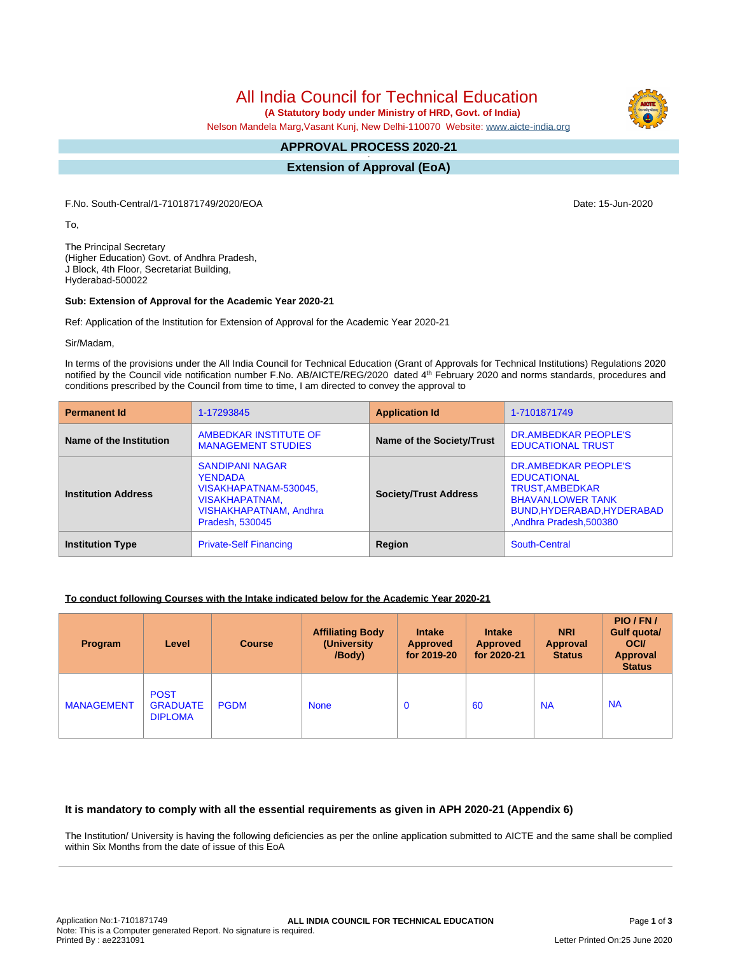# All India Council for Technical Education

 **(A Statutory body under Ministry of HRD, Govt. of India)**

Nelson Mandela Marg,Vasant Kunj, New Delhi-110070 Website: [www.aicte-india.org](http://www.aicte-india.org)

#### **APPROVAL PROCESS 2020-21 -**

**Extension of Approval (EoA)**

F.No. South-Central/1-7101871749/2020/EOA Date: 15-Jun-2020

To,

The Principal Secretary (Higher Education) Govt. of Andhra Pradesh, J Block, 4th Floor, Secretariat Building, Hyderabad-500022

#### **Sub: Extension of Approval for the Academic Year 2020-21**

Ref: Application of the Institution for Extension of Approval for the Academic Year 2020-21

Sir/Madam,

In terms of the provisions under the All India Council for Technical Education (Grant of Approvals for Technical Institutions) Regulations 2020 notified by the Council vide notification number F.No. AB/AICTE/REG/2020 dated 4<sup>th</sup> February 2020 and norms standards, procedures and conditions prescribed by the Council from time to time, I am directed to convey the approval to

| <b>Permanent Id</b>        | 1-17293845                                                                                                                              | <b>Application Id</b>        | 1-7101871749                                                                                                                                              |  |
|----------------------------|-----------------------------------------------------------------------------------------------------------------------------------------|------------------------------|-----------------------------------------------------------------------------------------------------------------------------------------------------------|--|
| Name of the Institution    | AMBEDKAR INSTITUTE OF<br><b>MANAGEMENT STUDIES</b>                                                                                      | Name of the Society/Trust    | DR.AMBEDKAR PEOPLE'S<br><b>EDUCATIONAL TRUST</b>                                                                                                          |  |
| <b>Institution Address</b> | <b>SANDIPANI NAGAR</b><br><b>YENDADA</b><br>VISAKHAPATNAM-530045,<br><b>VISAKHAPATNAM,</b><br>VISHAKHAPATNAM, Andhra<br>Pradesh, 530045 | <b>Society/Trust Address</b> | DR.AMBEDKAR PEOPLE'S<br><b>EDUCATIONAL</b><br><b>TRUST, AMBEDKAR</b><br><b>BHAVAN, LOWER TANK</b><br>BUND, HYDERABAD, HYDERABAD<br>,Andhra Pradesh,500380 |  |
| <b>Institution Type</b>    | <b>Private-Self Financing</b>                                                                                                           | Region                       | South-Central                                                                                                                                             |  |

### **To conduct following Courses with the Intake indicated below for the Academic Year 2020-21**

| Program           | Level                                            | <b>Course</b> | <b>Affiliating Body</b><br>(University)<br>/Body) | <b>Intake</b><br><b>Approved</b><br>for 2019-20 | <b>Intake</b><br><b>Approved</b><br>for 2020-21 | <b>NRI</b><br>Approval<br><b>Status</b> | PIO/FN/<br>Gulf quota/<br><b>OCI</b><br><b>Approval</b><br><b>Status</b> |
|-------------------|--------------------------------------------------|---------------|---------------------------------------------------|-------------------------------------------------|-------------------------------------------------|-----------------------------------------|--------------------------------------------------------------------------|
| <b>MANAGEMENT</b> | <b>POST</b><br><b>GRADUATE</b><br><b>DIPLOMA</b> | <b>PGDM</b>   | <b>None</b>                                       | $\mathbf 0$                                     | 60                                              | <b>NA</b>                               | <b>NA</b>                                                                |

### **It is mandatory to comply with all the essential requirements as given in APH 2020-21 (Appendix 6)**

The Institution/ University is having the following deficiencies as per the online application submitted to AICTE and the same shall be complied within Six Months from the date of issue of this EoA

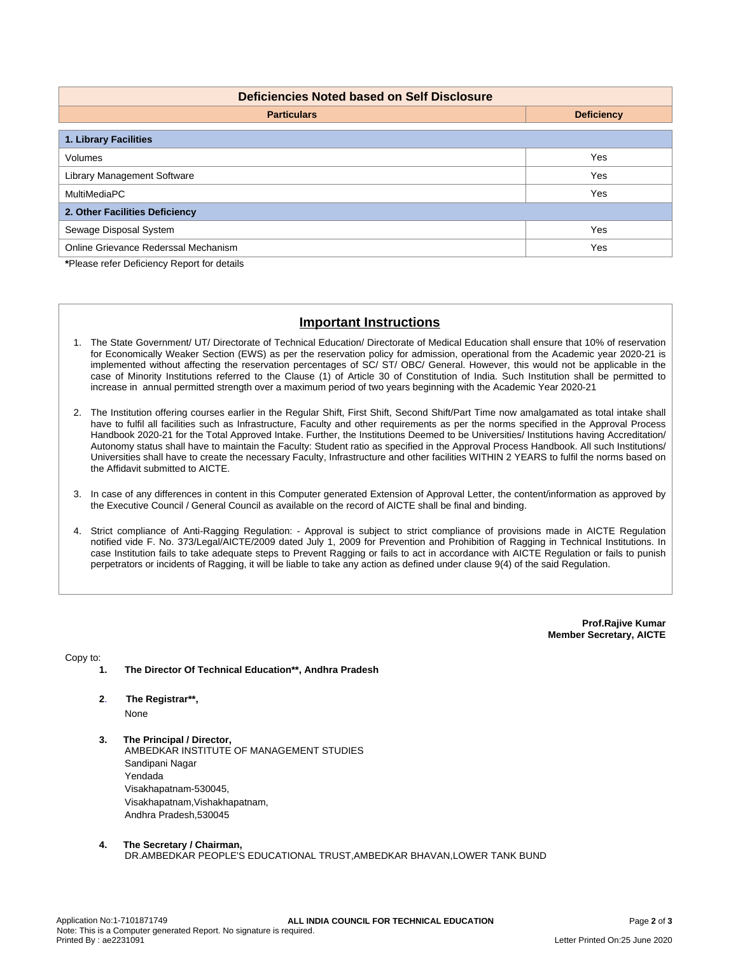| <b>Deficiencies Noted based on Self Disclosure</b> |                   |  |  |  |  |  |
|----------------------------------------------------|-------------------|--|--|--|--|--|
| <b>Particulars</b>                                 | <b>Deficiency</b> |  |  |  |  |  |
| 1. Library Facilities                              |                   |  |  |  |  |  |
| Volumes                                            | Yes               |  |  |  |  |  |
| <b>Library Management Software</b>                 | Yes               |  |  |  |  |  |
| MultiMediaPC                                       | Yes               |  |  |  |  |  |
| 2. Other Facilities Deficiency                     |                   |  |  |  |  |  |
| Sewage Disposal System                             | Yes               |  |  |  |  |  |
| Online Grievance Rederssal Mechanism               | Yes               |  |  |  |  |  |

**\***Please refer Deficiency Report for details

## **Important Instructions**

- 1. The State Government/ UT/ Directorate of Technical Education/ Directorate of Medical Education shall ensure that 10% of reservation for Economically Weaker Section (EWS) as per the reservation policy for admission, operational from the Academic year 2020-21 is implemented without affecting the reservation percentages of SC/ ST/ OBC/ General. However, this would not be applicable in the case of Minority Institutions referred to the Clause (1) of Article 30 of Constitution of India. Such Institution shall be permitted to increase in annual permitted strength over a maximum period of two years beginning with the Academic Year 2020-21
- 2. The Institution offering courses earlier in the Regular Shift, First Shift, Second Shift/Part Time now amalgamated as total intake shall have to fulfil all facilities such as Infrastructure, Faculty and other requirements as per the norms specified in the Approval Process Handbook 2020-21 for the Total Approved Intake. Further, the Institutions Deemed to be Universities/ Institutions having Accreditation/ Autonomy status shall have to maintain the Faculty: Student ratio as specified in the Approval Process Handbook. All such Institutions/ Universities shall have to create the necessary Faculty, Infrastructure and other facilities WITHIN 2 YEARS to fulfil the norms based on the Affidavit submitted to AICTE.
- 3. In case of any differences in content in this Computer generated Extension of Approval Letter, the content/information as approved by the Executive Council / General Council as available on the record of AICTE shall be final and binding.
- 4. Strict compliance of Anti-Ragging Regulation: Approval is subject to strict compliance of provisions made in AICTE Regulation notified vide F. No. 373/Legal/AICTE/2009 dated July 1, 2009 for Prevention and Prohibition of Ragging in Technical Institutions. In case Institution fails to take adequate steps to Prevent Ragging or fails to act in accordance with AICTE Regulation or fails to punish perpetrators or incidents of Ragging, it will be liable to take any action as defined under clause 9(4) of the said Regulation.

**Prof.Rajive Kumar Member Secretary, AICTE**

Copy to:

- **1. The Director Of Technical Education\*\*, Andhra Pradesh**
- **2**. **The Registrar\*\*,** None
- **3. The Principal / Director,** AMBEDKAR INSTITUTE OF MANAGEMENT STUDIES Sandipani Nagar Yendada Visakhapatnam-530045, Visakhapatnam,Vishakhapatnam, Andhra Pradesh,530045
- **4. The Secretary / Chairman,** DR.AMBEDKAR PEOPLE'S EDUCATIONAL TRUST,AMBEDKAR BHAVAN,LOWER TANK BUND